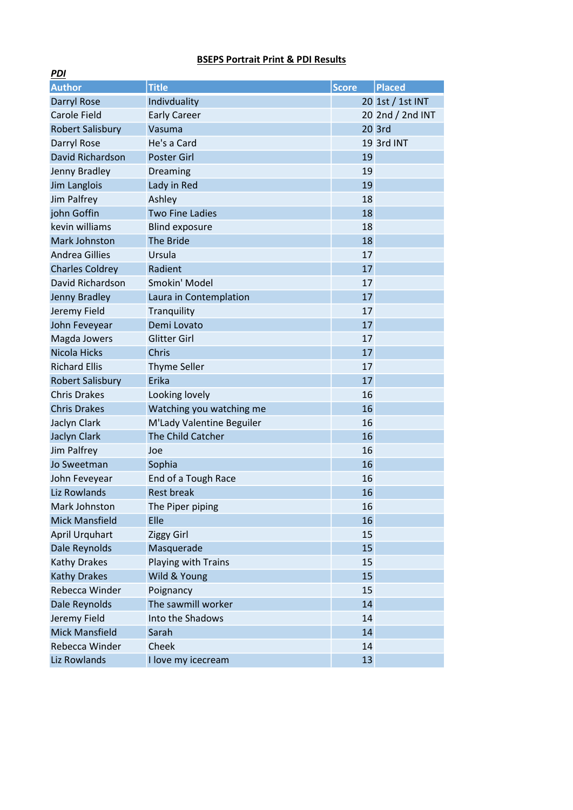## BSEPS Portrait Print & PDI Results

| <u>гиі</u>              |                           |              |                  |
|-------------------------|---------------------------|--------------|------------------|
| <b>Author</b>           | <b>Title</b>              | <b>Score</b> | <b>Placed</b>    |
| <b>Darryl Rose</b>      | Indivduality              |              | 20 1st / 1st INT |
| <b>Carole Field</b>     | <b>Early Career</b>       |              | 20 2nd / 2nd INT |
| <b>Robert Salisbury</b> | Vasuma                    |              | 20 3rd           |
| Darryl Rose             | He's a Card               |              | 19 3rd INT       |
| David Richardson        | <b>Poster Girl</b>        | 19           |                  |
| Jenny Bradley           | Dreaming                  | 19           |                  |
| Jim Langlois            | Lady in Red               | 19           |                  |
| Jim Palfrey             | Ashley                    | 18           |                  |
| john Goffin             | <b>Two Fine Ladies</b>    | 18           |                  |
| kevin williams          | <b>Blind exposure</b>     | 18           |                  |
| <b>Mark Johnston</b>    | <b>The Bride</b>          | 18           |                  |
| <b>Andrea Gillies</b>   | Ursula                    | 17           |                  |
| <b>Charles Coldrey</b>  | Radient                   | 17           |                  |
| David Richardson        | Smokin' Model             | 17           |                  |
| Jenny Bradley           | Laura in Contemplation    | 17           |                  |
| Jeremy Field            | Tranquility               | 17           |                  |
| John Feveyear           | Demi Lovato               | 17           |                  |
| Magda Jowers            | <b>Glitter Girl</b>       | 17           |                  |
| Nicola Hicks            | Chris                     | 17           |                  |
| <b>Richard Ellis</b>    | Thyme Seller              | 17           |                  |
| <b>Robert Salisbury</b> | Erika                     | 17           |                  |
| <b>Chris Drakes</b>     | Looking lovely            | 16           |                  |
| <b>Chris Drakes</b>     | Watching you watching me  | 16           |                  |
| Jaclyn Clark            | M'Lady Valentine Beguiler | 16           |                  |
| <b>Jaclyn Clark</b>     | The Child Catcher         | 16           |                  |
| Jim Palfrey             | Joe                       | 16           |                  |
| Jo Sweetman             | Sophia                    | 16           |                  |
| John Feveyear           | End of a Tough Race       | 16           |                  |
| Liz Rowlands            | <b>Rest break</b>         | 16           |                  |
| Mark Johnston           | The Piper piping          | 16           |                  |
| <b>Mick Mansfield</b>   | Elle                      | 16           |                  |
| <b>April Urquhart</b>   | <b>Ziggy Girl</b>         | 15           |                  |
| Dale Reynolds           | Masquerade                | 15           |                  |
| <b>Kathy Drakes</b>     | Playing with Trains       | 15           |                  |
| <b>Kathy Drakes</b>     | Wild & Young              | 15           |                  |
| Rebecca Winder          | Poignancy                 | 15           |                  |
| Dale Reynolds           | The sawmill worker        | 14           |                  |
| Jeremy Field            | Into the Shadows          | 14           |                  |
| <b>Mick Mansfield</b>   | Sarah                     | 14           |                  |
| Rebecca Winder          | Cheek                     | 14           |                  |
| Liz Rowlands            | I love my icecream        | 13           |                  |

 $DDI$